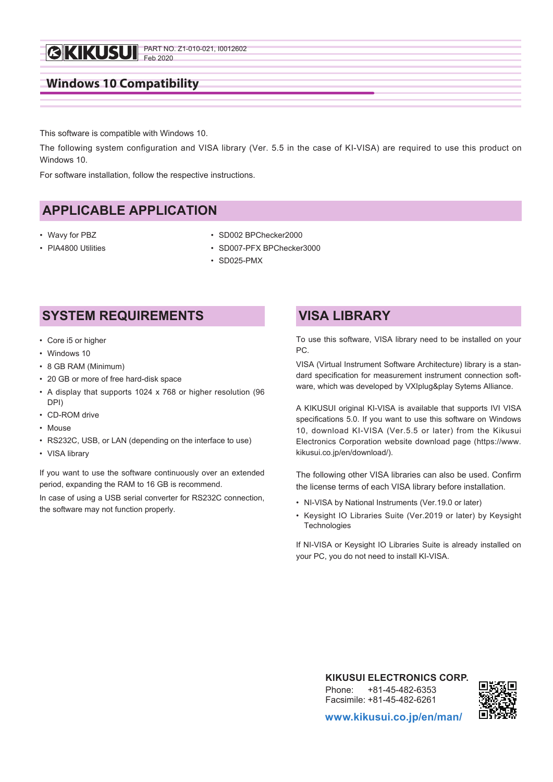

This software is compatible with Windows 10.

The following system configuration and VISA library (Ver. 5.5 in the case of KI-VISA) are required to use this product on Windows 10

For software installation, follow the respective instructions.

## **APPLICABLE APPLICATION**

- Wavy for PBZ
- PIA4800 Utilities
- SD002 BPChecker2000
- SD007-PFX BPChecker3000
	- SD025-PMX

## **SYSTEM REQUIREMENTS**

- Core i5 or higher
- Windows 10
- 8 GB RAM (Minimum)
- 20 GB or more of free hard-disk space
- A display that supports 1024 x 768 or higher resolution (96 DPI)
- CD-ROM drive
- Mouse
- RS232C, USB, or LAN (depending on the interface to use)
- VISA library

If you want to use the software continuously over an extended period, expanding the RAM to 16 GB is recommend.

In case of using a USB serial converter for RS232C connection, the software may not function properly.

## **VISA LIBRARY**

To use this software, VISA library need to be installed on your PC.

VISA (Virtual Instrument Software Architecture) library is a standard specification for measurement instrument connection software, which was developed by VXIplug&play Sytems Alliance.

A KIKUSUI original KI-VISA is available that supports IVI VISA specifications 5.0. If you want to use this software on Windows 10, download KI-VISA (Ver.5.5 or later) from the Kikusui Electronics Corporation website download page (https://www. kikusui.co.jp/en/download/).

The following other VISA libraries can also be used. Confirm the license terms of each VISA library before installation.

- NI-VISA by National Instruments (Ver.19.0 or later)
- Keysight IO Libraries Suite (Ver.2019 or later) by Keysight **Technologies**

If NI-VISA or Keysight IO Libraries Suite is already installed on your PC, you do not need to install KI-VISA.

> **KIKUSUI ELECTRONICS CORP.** Phone: +81-45-482-6353 Facsimile: +81-45-482-6261



**www.kikusui.co.jp/en/man/**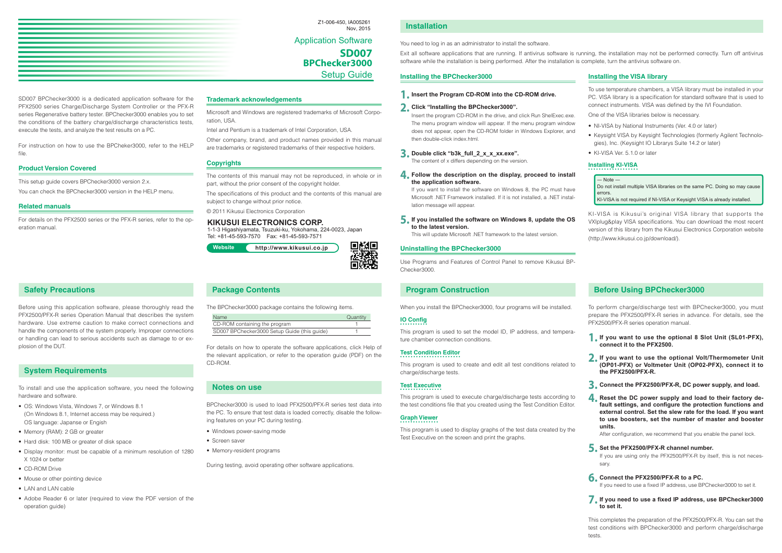

SD007 BPChecker3000 is a dedicated application software for the PFX2500 series Charge/Discharge System Controller or the PFX-R series Regenerative battery tester. BPChecker3000 enables you to set the conditions of the battery charge/discharge characteristics tests, execute the tests, and analyze the test results on a PC.

For instruction on how to use the BPCheker3000, refer to the HELP file.

#### **Product Version Covered**

This setup guide covers BPChecker3000 version 2.x.

You can check the BPChecker3000 version in the HELP menu.

#### **Related manuals**

For details on the PFX2500 series or the PFX-R series, refer to the operation manual.

#### **Trademark acknowledgements**

Microsoft and Windows are registered trademarks of Microsoft Corporation, USA.

Intel and Pentium is a trademark of Intel Corporation, USA.

Other company, brand, and product names provided in this manual are trademarks or registered trademarks of their respective holders.

#### **Copyrights**

The contents of this manual may not be reproduced, in whole or in part, without the prior consent of the copyright holder.

The specifications of this product and the contents of this manual are subject to change without prior notice.

© 2011 Kikusui Electronics Corporation

#### **Safety Precautions**

Before using this application software, please thoroughly read the PFX2500/PFX-R series Operation Manual that describes the system hardware. Use extreme caution to make correct connections and handle the components of the system properly. Improper connections or handling can lead to serious accidents such as damage to or explosion of the DUT.

### **System Requirements**

To install and use the application software, you need the following hardware and software.

- OS: Windows Vista, Windows 7, or Windows 8.1 (On Windows 8.1, Internet access may be required.) OS language: Japanse or Engish
- Memory (RAM): 2 GB or greater
- Hard disk: 100 MB or greater of disk space
- Display monitor: must be capable of a minimum resolution of 1280 X 1024 or better
- CD-ROM Drive
- Mouse or other pointing device
- LAN and LAN cable
- Adobe Reader 6 or later (required to view the PDF version of the operation guide)

#### **Package Contents**

The BPChecker3000 package contains the following items.

| <b>Name</b>                                  | Quantity |
|----------------------------------------------|----------|
| CD-ROM containing the program                |          |
| SD007 BPChecker3000 Setup Guide (this guide) |          |

For details on how to operate the software applications, click Help of the relevant application, or refer to the operation guide (PDF) on the CD-ROM.

#### **Notes on use**

BPChecker3000 is used to load PFX2500/PFX-R series test data into the PC. To ensure that test data is loaded correctly, disable the following features on your PC during testing.

- Windows power-saving mode
- Screen saver
- Memory-resident programs

During testing, avoid operating other software applications.

Application Software **SD007 BPChecker3000** Setup Guide

Z1-006-450, IA005261

#### Nov, 2015 **Installation**

You need to log in as an administrator to install the software.

Exit all software applications that are running. If antivirus software is running, the installation may not be performed correctly. Turn off antivirus software while the installation is being performed. After the installation is complete, turn the antivirus software on.

#### **Installing the BPChecker3000**

**1. Insert the Program CD-ROM into the CD-ROM drive.**

#### **2. Click "Installing the BPChecker3000".**

Insert the program CD-ROM in the drive, and click Run ShelExec.exe. The menu program window will appear. If the menu program window does not appear, open the CD-ROM folder in Windows Explorer, and then double-click index.html.

**3. Double click "b3k\_full\_2\_x\_x\_xx.exe".**

The content of x differs depending on the version.

**4. Follow the description on the display, proceed to install the application software.**

If you want to install the software on Windows 8, the PC must have Microsoft .NET Framework installed. If it is not installed, a .NET installation message will appear.

**5. If you installed the software on Windows 8, update the OS to the latest version.**

This will update Microsoft .NET framework to the latest version.

#### **Uninstalling the BPChecker3000**

Use Programs and Features of Control Panel to remove Kikusui BP-Checker3000.

## **Installing the VISA library**

To use temperature chambers, a VISA library must be installed in your PC. VISA library is a specification for standard software that is used to connect instruments. VISA was defined by the IVI Foundation.

One of the VISA libraries below is necessary.

- NI-VISA by National Instruments (Ver. 4.0 or later)
- Keysight VISA by Keysight Technologies (formerly Agilent Technologies), Inc. (Keysight IO Librarys Suite 14.2 or later)
- KI-VISA Ver. 5.1.0 or later

## **Installing KI-VISA**

― Note ― Do not install multiple VISA libraries on the same PC. Doing so may cause errors.

KI-VISA is not required if NI-VISA or Keysight VISA is already installed.

KI-VISA is Kikusui's original VISA library that supports the VXIplug&play VISA specifications. You can download the most recent version of this library from the Kikusui Electronics Corporation website (http://www.kikusui.co.jp/download/).

#### **KIKUSUI ELECTRONICS CORP.**



1-1-3 Higashiyamata, Tsuzuki-ku, Yokohama, 224-0023, Japan Tel: +81-45-593-7570 Fax: +81-45-593-7571

#### **Program Construction**

When you install the BPChecker3000, four programs will be installed.

#### **IO Config**

oMe

This program is used to set the model ID, IP address, and temperature chamber connection conditions.

### **Test Condition Editor**

This program is used to create and edit all test conditions related to charge/discharge tests.

## **Test Executive**

This program is used to execute charge/discharge tests according to the test conditions file that you created using the Test Condition Editor.

## **Graph Viewer**

This program is used to display graphs of the test data created by the Test Executive on the screen and print the graphs.

## **Before Using BPChecker3000**

To perform charge/discharge test with BPChecker3000, you must prepare the PFX2500/PFX-R series in advance. For details, see the PFX2500/PFX-R series operation manual.

- **1. If you want to use the optional 8 Slot Unit (SL01-PFX), connect it to the PFX2500.**
- **2. If you want to use the optional Volt/Thermometer Unit (OP01-PFX) or Voltmeter Unit (OP02-PFX), connect it to the PFX2500/PFX-R.**
- **3. Connect the PFX2500/PFX-R, DC power supply, and load.**
- **4. Reset the DC power supply and load to their factory default settings, and configure the protection functions and external control. Set the slew rate for the load. If you want to use boosters, set the number of master and booster units.**

After configuration, we recommend that you enable the panel lock.

#### **5. Set the PFX2500/PFX-R channel number.**

If you are using only the PFX2500/PFX-R by itself, this is not necessary.

#### **6. Connect the PFX2500/PFX-R to a PC.**

If you need to use a fixed IP address, use BPChecker3000 to set it.

#### **7. If you need to use a fixed IP address, use BPChecker3000 to set it.**

This completes the preparation of the PFX2500/PFX-R. You can set the test conditions with BPChecker3000 and perform charge/discharge tests.